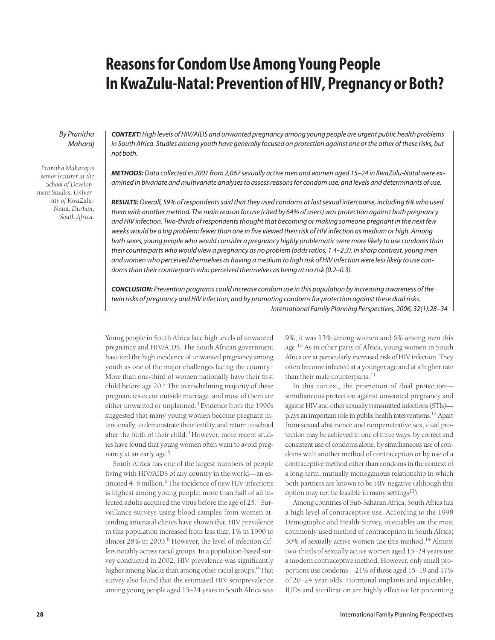# **Reasons for Condom Use Among Young People In KwaZulu-Natal: Prevention of HIV, Pregnancy or Both?**

## By Pranitha Maharaj

*Pranitha Maharaj is senior lecturer at the School of Development Studies, University of KwaZulu-Natal, Durban, South Africa.* **CONTEXT:**High levels of HIV/AIDS and unwanted pregnancy among young people are urgent public health problems in South Africa. Studies among youth have generally focused on protection against one or the other of these risks, but not both.

**METHODS:**Data collected in 2001 from 2,067 sexually active men and women aged 15–24 in KwaZulu-Natal were examined in bivariate and multivariate analyses to assess reasons for condom use, and levels and determinants of use.

**RESULTS:** Overall, 59% of respondents said that they used condoms at last sexual intercourse, including 6% who used them with another method. The main reason for use (cited by 64% of users) was protection against both pregnancy and HIV infection. Two-thirds of respondents thought that becoming or making someone pregnant in the next few weeks would be a big problem; fewer than one in five viewed their risk of HIV infection as medium or high. Among both sexes, young people who would consider a pregnancy highly problematic were more likely to use condoms than their counterparts who would view a pregnancy as no problem (odds ratios, 1.4–2.3). In sharp contrast, young men and women who perceived themselves as having a medium to high risk of HIV infection were less likely to use condoms than their counterparts who perceived themselves as being at no risk (0.2–0.3).

**CONCLUSION:** Prevention programs could increase condom use in this population by increasing awareness of the twin risks of pregnancy and HIV infection, and by promoting condoms for protection against these dual risks. International Family Planning Perspectives, 2006, 32(1):28–34

Young people in South Africa face high levels of unwanted pregnancy and HIV/AIDS. The South African government has cited the high incidence of unwanted pregnancy among youth as one of the major challenges facing the country.<sup>1</sup> More than one-third of women nationally have their first child before age  $20<sup>2</sup>$ . The overwhelming majority of these pregnancies occur outside marriage, and most of them are either unwanted or unplanned.3 Evidence from the 1990s suggested that many young women become pregnant intentionally, to demonstrate their fertility, and return to school after the birth of their child.<sup>4</sup> However, more recent studies have found that young women often want to avoid pregnancy at an early age.<sup>5</sup>

South Africa has one of the largest numbers of people living with HIV/AIDS of any country in the world—an estimated 4–6 million.<sup>6</sup> The incidence of new HIV infections is highest among young people; more than half of all infected adults acquired the virus before the age of 25.<sup>7</sup> Surveillance surveys using blood samples from women attending antenatal clinics have shown that HIV prevalence in this population increased from less than 1% in 1990 to almost 28% in 2003.<sup>8</sup> However, the level of infection differs notably across racial groups. In a population-based survey conducted in 2002, HIV prevalence was significantly higher among blacks than among other racial groups.<sup>9</sup> That survey also found that the estimated HIV seroprevalence among young people aged 15–24 years in South Africa was 9%; it was 13% among women and 6% among men this age.<sup>10</sup> As in other parts of Africa, young women in South Africa are at particularly increased risk of HIV infection. They often become infected at a younger age and at a higher rate than their male counterparts.<sup>11</sup>

In this context, the promotion of dual protection simultaneous protection against unwanted pregnancy and against HIV and other sexually transmitted infections (STIs) plays an important role in public health interventions.12 Apart from sexual abstinence and nonpenetrative sex, dual protection may be achieved in one of three ways: by correct and consistent use of condoms alone, by simultaneous use of condoms with another method of contraception or by use of a contraceptive method other than condoms in the context of a long-term, mutually monogamous relationship in which both partners are known to be HIV-negative (although this option may not be feasible in many settings $^{13}$ ).

Among countries of Sub-Saharan Africa, South Africa has a high level of contraceptive use. According to the 1998 Demographic and Health Survey, injectables are the most commonly used method of contraception in South Africa; 30% of sexually active women use this method.<sup>14</sup> Almost two-thirds of sexually active women aged 15–24 years use a modern contraceptive method. However, only small proportions use condoms—21% of those aged 15–19 and 17% of 20–24-year-olds. Hormonal implants and injectables, IUDs and sterilization are highly effective for preventing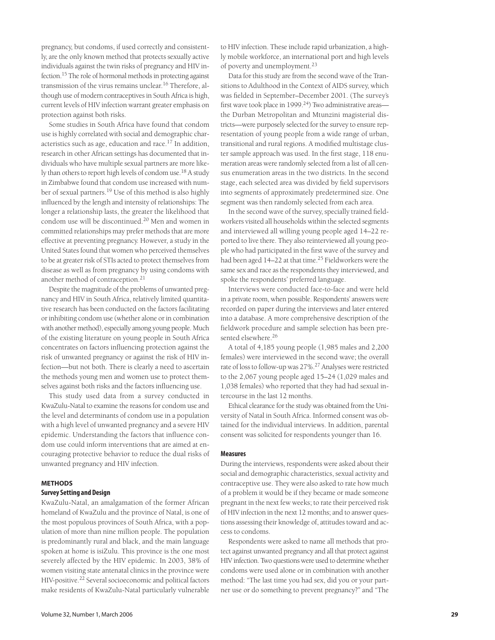pregnancy, but condoms, if used correctly and consistently, are the only known method that protects sexually active individuals against the twin risks of pregnancy and HIV infection.15 The role of hormonal methods in protecting against transmission of the virus remains unclear.<sup>16</sup> Therefore, although use of modern contraceptives in South Africa is high, current levels of HIV infection warrant greater emphasis on protection against both risks.

Some studies in South Africa have found that condom use is highly correlated with social and demographic characteristics such as age, education and race.<sup>17</sup> In addition, research in other African settings has documented that individuals who have multiple sexual partners are more likely than others to report high levels of condom use.<sup>18</sup> A study in Zimbabwe found that condom use increased with number of sexual partners.<sup>19</sup> Use of this method is also highly influenced by the length and intensity of relationships: The longer a relationship lasts, the greater the likelihood that condom use will be discontinued.<sup>20</sup> Men and women in committed relationships may prefer methods that are more effective at preventing pregnancy. However, a study in the United States found that women who perceived themselves to be at greater risk of STIs acted to protect themselves from disease as well as from pregnancy by using condoms with another method of contraception.<sup>21</sup>

Despite the magnitude of the problems of unwanted pregnancy and HIV in South Africa, relatively limited quantitative research has been conducted on the factors facilitating or inhibiting condom use (whether alone or in combination with another method), especially among young people. Much of the existing literature on young people in South Africa concentrates on factors influencing protection against the risk of unwanted pregnancy or against the risk of HIV infection—but not both. There is clearly a need to ascertain the methods young men and women use to protect themselves against both risks and the factors influencing use.

This study used data from a survey conducted in KwaZulu-Natal to examine the reasons for condom use and the level and determinants of condom use in a population with a high level of unwanted pregnancy and a severe HIV epidemic. Understanding the factors that influence condom use could inform interventions that are aimed at encouraging protective behavior to reduce the dual risks of unwanted pregnancy and HIV infection.

# **METHODS Survey Setting and Design**

KwaZulu-Natal, an amalgamation of the former African homeland of KwaZulu and the province of Natal, is one of the most populous provinces of South Africa, with a population of more than nine million people. The population is predominantly rural and black, and the main language spoken at home is isiZulu. This province is the one most severely affected by the HIV epidemic. In 2003, 38% of women visiting state antenatal clinics in the province were HIV-positive.22 Several socioeconomic and political factors make residents of KwaZulu-Natal particularly vulnerable

to HIV infection. These include rapid urbanization, a highly mobile workforce, an international port and high levels of poverty and unemployment.23

Data for this study are from the second wave of the Transitions to Adulthood in the Context of AIDS survey, which was fielded in September–December 2001. (The survey's first wave took place in 1999.<sup>24</sup>) Two administrative areas the Durban Metropolitan and Mtunzini magisterial districts—were purposely selected for the survey to ensure representation of young people from a wide range of urban, transitional and rural regions. A modified multistage cluster sample approach was used. In the first stage, 118 enumeration areas were randomly selected from a list of all census enumeration areas in the two districts. In the second stage, each selected area was divided by field supervisors into segments of approximately predetermined size. One segment was then randomly selected from each area.

In the second wave of the survey, specially trained fieldworkers visited all households within the selected segments and interviewed all willing young people aged 14–22 reported to live there. They also reinterviewed all young people who had participated in the first wave of the survey and had been aged 14–22 at that time.<sup>25</sup> Fieldworkers were the same sex and race as the respondents they interviewed, and spoke the respondents' preferred language.

Interviews were conducted face-to-face and were held in a private room, when possible. Respondents' answers were recorded on paper during the interviews and later entered into a database. A more comprehensive description of the fieldwork procedure and sample selection has been presented elsewhere.<sup>26</sup>

A total of 4,185 young people (1,985 males and 2,200 females) were interviewed in the second wave; the overall rate of loss to follow-up was 27%.<sup>27</sup> Analyses were restricted to the 2,067 young people aged 15–24 (1,029 males and 1,038 females) who reported that they had had sexual intercourse in the last 12 months.

Ethical clearance for the study was obtained from the University of Natal in South Africa. Informed consent was obtained for the individual interviews. In addition, parental consent was solicited for respondents younger than 16.

### **Measures**

During the interviews, respondents were asked about their social and demographic characteristics, sexual activity and contraceptive use. They were also asked to rate how much of a problem it would be if they became or made someone pregnant in the next few weeks; to rate their perceived risk of HIV infection in the next 12 months; and to answer questions assessing their knowledge of, attitudes toward and access to condoms.

Respondents were asked to name all methods that protect against unwanted pregnancy and all that protect against HIV infection. Two questions were used to determine whether condoms were used alone or in combination with another method: "The last time you had sex, did you or your partner use or do something to prevent pregnancy?" and "The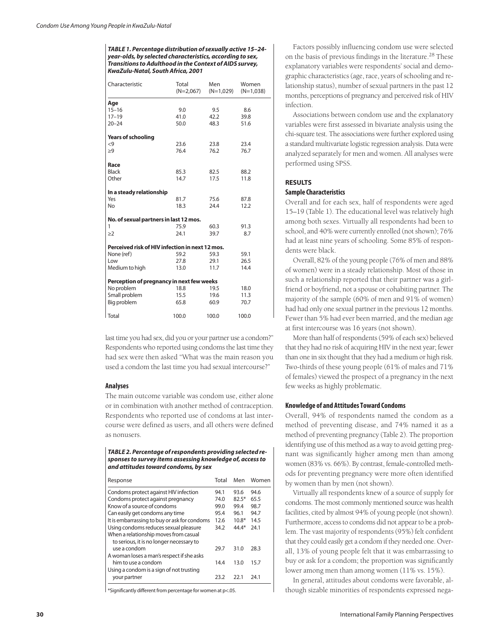**TABLE 1. Percentage distribution of sexually active 15–24 year-olds, by selected characteristics, according to sex, Transitions to Adulthood in the Context of AIDS survey, KwaZulu-Natal, South Africa, 2001**

| Characteristic                                  | Total<br>$(N=2,067)$ | Men<br>$(N=1,029)$ | Women<br>$(N=1,038)$ |  |  |
|-------------------------------------------------|----------------------|--------------------|----------------------|--|--|
| Age                                             |                      |                    |                      |  |  |
| $15 - 16$                                       | 9.0                  | 9.5                | 8.6                  |  |  |
| $17 - 19$                                       | 41.0                 | 42.2               | 39.8                 |  |  |
| $20 - 24$                                       | 50.0                 | 48.3               | 51.6                 |  |  |
| <b>Years of schooling</b>                       |                      |                    |                      |  |  |
| $\leq$ 9                                        | 23.6                 | 23.8               | 23.4                 |  |  |
| $\geq 9$                                        | 76.4                 | 76.2               | 76.7                 |  |  |
|                                                 |                      |                    |                      |  |  |
| Race                                            |                      |                    |                      |  |  |
| <b>Black</b>                                    | 85.3                 | 82.5               | 88.2                 |  |  |
| Other                                           | 14.7                 | 17.5               | 11.8                 |  |  |
|                                                 |                      |                    |                      |  |  |
| In a steady relationship                        |                      |                    |                      |  |  |
| Yes                                             | 81.7                 | 75.6               | 87.8                 |  |  |
| No                                              | 18.3                 | 24.4               | 12.2                 |  |  |
|                                                 |                      |                    |                      |  |  |
| No. of sexual partners in last 12 mos.<br>1     | 75.9                 | 60.3               | 91.3                 |  |  |
| $\geq$ 2                                        | 24.1                 | 39.7               | 8.7                  |  |  |
|                                                 |                      |                    |                      |  |  |
| Perceived risk of HIV infection in next 12 mos. |                      |                    |                      |  |  |
| None (ref)                                      | 59.2                 | 59.3               | 59.1                 |  |  |
| Low                                             | 27.8                 | 29.1               | 26.5                 |  |  |
| Medium to high                                  | 13.0                 | 11.7               | 14.4                 |  |  |
|                                                 |                      |                    |                      |  |  |
| Perception of pregnancy in next few weeks       |                      |                    |                      |  |  |
| No problem                                      | 18.8                 | 19.5               | 18.0                 |  |  |
| Small problem                                   | 15.5                 | 19.6               | 11.3                 |  |  |
| Big problem                                     | 65.8                 | 60.9               | 70.7                 |  |  |
| Total                                           | 100.0                | 100.0              | 100.0                |  |  |

last time you had sex, did you or your partner use a condom?" Respondents who reported using condoms the last time they had sex were then asked "What was the main reason you used a condom the last time you had sexual intercourse?"

### **Analyses**

The main outcome variable was condom use, either alone or in combination with another method of contraception. Respondents who reported use of condoms at last intercourse were defined as users, and all others were defined as nonusers.

**TABLE 2. Percentage of respondents providing selected responses to survey items assessing knowledge of, access to and attitudes toward condoms, by sex**

| Response                                                                          | Total | Men     | Women |
|-----------------------------------------------------------------------------------|-------|---------|-------|
| Condoms protect against HIV infection                                             | 94.1  | 93.6    | 94.6  |
| Condoms protect against pregnancy                                                 | 74.0  | $82.5*$ | 65.5  |
| Know of a source of condoms                                                       | 99.0  | 99.4    | 98.7  |
| Can easily get condoms any time                                                   | 95.4  | 96.1    | 94.7  |
| It is embarrassing to buy or ask for condoms                                      | 12.6  | $10.8*$ | 14.5  |
| Using condoms reduces sexual pleasure                                             | 34.2  | $44.4*$ | 24.1  |
| When a relationship moves from casual<br>to serious, it is no longer necessary to |       |         |       |
| use a condom                                                                      | 29.7  | 31.0    | 28.3  |
| A woman loses a man's respect if she asks                                         |       |         |       |
| him to use a condom<br>Using a condom is a sign of not trusting                   | 14.4  | 13.0    | 15.7  |
| your partner                                                                      | 23.2  | 22.1    | 24.1  |

\*Significantly different from percentage for women at p<.05.

Factors possibly influencing condom use were selected on the basis of previous findings in the literature.<sup>28</sup> These explanatory variables were respondents' social and demographic characteristics (age, race, years of schooling and relationship status), number of sexual partners in the past 12 months, perceptions of pregnancy and perceived risk of HIV infection.

Associations between condom use and the explanatory variables were first assessed in bivariate analysis using the chi-square test. The associations were further explored using a standard multivariate logistic regression analysis. Data were analyzed separately for men and women. All analyses were performed using SPSS.

## **RESULTS**

## **Sample Characteristics**

Overall and for each sex, half of respondents were aged 15–19 (Table 1). The educational level was relatively high among both sexes. Virtually all respondents had been to school, and 40% were currently enrolled (not shown); 76% had at least nine years of schooling. Some 85% of respondents were black.

Overall, 82% of the young people (76% of men and 88% of women) were in a steady relationship. Most of those in such a relationship reported that their partner was a girlfriend or boyfriend, not a spouse or cohabiting partner. The majority of the sample (60% of men and 91% of women) had had only one sexual partner in the previous 12 months. Fewer than 5% had ever been married, and the median age at first intercourse was 16 years (not shown).

More than half of respondents (59% of each sex) believed that they had no risk of acquiring HIV in the next year; fewer than one in six thought that they had a medium or high risk. Two-thirds of these young people (61% of males and 71% of females) viewed the prospect of a pregnancy in the next few weeks as highly problematic.

### **Knowledge of and Attitudes Toward Condoms**

Overall, 94% of respondents named the condom as a method of preventing disease, and 74% named it as a method of preventing pregnancy (Table 2). The proportion identifying use of this method as a way to avoid getting pregnant was significantly higher among men than among women (83% vs. 66%). By contrast, female-controlled methods for preventing pregnancy were more often identified by women than by men (not shown).

Virtually all respondents knew of a source of supply for condoms. The most commonly mentioned source was health facilities, cited by almost 94% of young people (not shown). Furthermore, access to condoms did not appear to be a problem. The vast majority of respondents (95%) felt confident that they could easily get a condom if they needed one. Overall, 13% of young people felt that it was embarrassing to buy or ask for a condom; the proportion was significantly lower among men than among women (11% vs. 15%).

In general, attitudes about condoms were favorable, although sizable minorities of respondents expressed nega-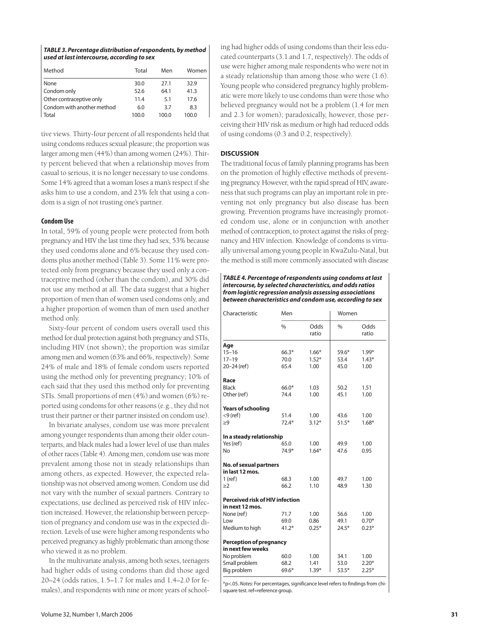| TABLE 3. Percentage distribution of respondents, by method |
|------------------------------------------------------------|
| used at last intercourse, according to sex                 |

| Method                     | Total | Men   | Women |
|----------------------------|-------|-------|-------|
| None                       | 30.0  | 27.1  | 32.9  |
| Condom only                | 52.6  | 64.1  | 41.3  |
| Other contraceptive only   | 11.4  | 5.1   | 17.6  |
| Condom with another method | 6.0   | 3.7   | 8.3   |
| Total                      | 100.0 | 100.0 | 100.0 |

tive views. Thirty-four percent of all respondents held that using condoms reduces sexual pleasure; the proportion was larger among men (44%) than among women (24%). Thirty percent believed that when a relationship moves from casual to serious, it is no longer necessary to use condoms. Some 14% agreed that a woman loses a man's respect if she asks him to use a condom, and 23% felt that using a condom is a sign of not trusting one's partner.

## **Condom Use**

In total, 59% of young people were protected from both pregnancy and HIV the last time they had sex, 53% because they used condoms alone and 6% because they used condoms plus another method (Table 3). Some 11% were protected only from pregnancy because they used only a contraceptive method (other than the condom), and 30% did not use any method at all. The data suggest that a higher proportion of men than of women used condoms only, and a higher proportion of women than of men used another method only.

Sixty-four percent of condom users overall used this method for dual protection against both pregnancy and STIs, including HIV (not shown); the proportion was similar among men and women (63% and 66%, respectively). Some 24% of male and 18% of female condom users reported using the method only for preventing pregnancy; 10% of each said that they used this method only for preventing STIs. Small proportions of men (4%) and women (6%) reported using condoms for other reasons (e.g., they did not trust their partner or their partner insisted on condom use).

In bivariate analyses, condom use was more prevalent among younger respondents than among their older counterparts, and black males had a lower level of use than males of other races (Table 4). Among men, condom use was more prevalent among those not in steady relationships than among others, as expected. However, the expected relationship was not observed among women. Condom use did not vary with the number of sexual partners. Contrary to expectations, use declined as perceived risk of HIV infection increased. However, the relationship between perception of pregnancy and condom use was in the expected direction. Levels of use were higher among respondents who perceived pregnancy as highly problematic than among those who viewed it as no problem.

In the multivariate analysis, among both sexes, teenagers had higher odds of using condoms than did those aged 20–24 (odds ratios, 1.5–1.7 for males and 1.4–2.0 for females), and respondents with nine or more years of school-

ing had higher odds of using condoms than their less educated counterparts (3.1 and 1.7, respectively). The odds of use were higher among male respondents who were not in a steady relationship than among those who were (1.6). Young people who considered pregnancy highly problematic were more likely to use condoms than were those who believed pregnancy would not be a problem (1.4 for men and 2.3 for women); paradoxically, however, those perceiving their HIV risk as medium or high had reduced odds of using condoms (0.3 and 0.2, respectively).

#### **DISCUSSION**

The traditional focus of family planning programs has been on the promotion of highly effective methods of preventing pregnancy. However, with the rapid spread of HIV, awareness that such programs can play an important role in preventing not only pregnancy but also disease has been growing. Prevention programs have increasingly promoted condom use, alone or in conjunction with another method of contraception, to protect against the risks of pregnancy and HIV infection. Knowledge of condoms is virtually universal among young people in KwaZulu-Natal, but the method is still more commonly associated with disease

**TABLE 4. Percentage of respondents using condoms at last intercourse, by selected characteristics, and odds ratios from logistic regression analysis assessing associations between characteristics and condom use, according to sex**

| Characteristic                            | Men     |               | Women         |               |
|-------------------------------------------|---------|---------------|---------------|---------------|
|                                           | $\%$    | Odds<br>ratio | $\frac{0}{0}$ | Odds<br>ratio |
| Age                                       |         |               |               |               |
| $15 - 16$                                 | $66.3*$ | $1.66*$       | $59.6*$       | $1.99*$       |
| $17 - 19$                                 | 70.0    | $1.52*$       | 53.4          | $1.43*$       |
| $20 - 24$ (ref)                           | 65.4    | 1.00          | 45.0          | 1.00          |
| Race                                      |         |               |               |               |
| <b>Black</b>                              | $66.0*$ | 1.03          | 50.2          | 1.51          |
| Other (ref)                               | 74.4    | 1.00          | 45.1          | 1.00          |
|                                           |         |               |               |               |
| <b>Years of schooling</b>                 |         |               |               |               |
| $<$ 9 (ref)                               | 51.4    | 1.00          | 43.6          | 1.00          |
| >9                                        | $72.4*$ | $3.12*$       | $51.5*$       | $1.68*$       |
| In a steady relationship                  |         |               |               |               |
| Yes (ref)                                 | 65.0    | 1.00          | 49.9          | 1.00          |
| <b>No</b>                                 | 74.9*   | $1.64*$       | 47.6          | 0.95          |
|                                           |         |               |               |               |
| No. of sexual partners<br>in last 12 mos. |         |               |               |               |
| $1$ (ref)                                 | 68.3    | 1.00          | 49.7          | 1.00          |
| >2                                        | 66.2    | 1.10          | 48.9          | 1.30          |
|                                           |         |               |               |               |
| <b>Perceived risk of HIV infection</b>    |         |               |               |               |
| in next 12 mos.                           |         |               |               |               |
| None (ref)                                | 71.7    | 1.00          | 56.6          | 1.00          |
| l ow                                      | 69.0    | 0.86          | 49.1          | $0.70*$       |
| Medium to high                            | $41.2*$ | $0.25*$       | $24.5*$       | $0.23*$       |
| <b>Perception of pregnancy</b>            |         |               |               |               |
| in next few weeks                         |         |               |               |               |
| No problem                                | 60.0    | 1.00          | 34.1          | 1.00          |
| Small problem                             | 68.2    | 1.41          | 53.0          | $2.20*$       |
| Big problem                               | 69.6*   | $1.39*$       | $53.5*$       | $2.25*$       |

\*p<.05. Notes: For percentages, significance level refers to findings from chisquare test. ref=reference group.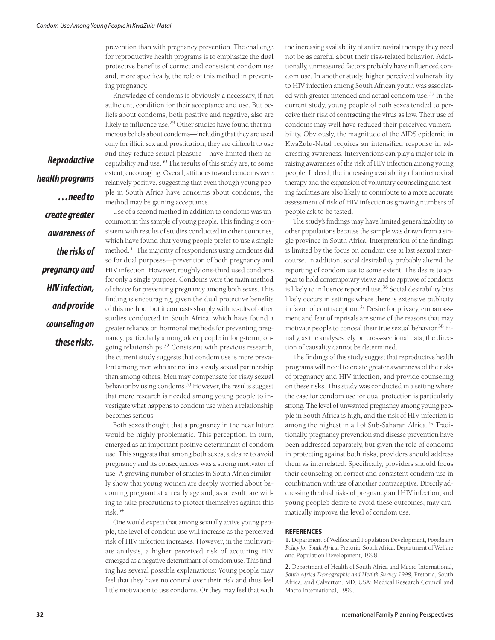prevention than with pregnancy prevention. The challenge for reproductive health programs is to emphasize the dual protective benefits of correct and consistent condom use and, more specifically, the role of this method in preventing pregnancy.

Knowledge of condoms is obviously a necessary, if not sufficient, condition for their acceptance and use. But beliefs about condoms, both positive and negative, also are likely to influence use.29 Other studies have found that numerous beliefs about condoms—including that they are used only for illicit sex and prostitution, they are difficult to use and they reduce sexual pleasure—have limited their acceptability and use.30 The results of this study are, to some extent, encouraging. Overall, attitudes toward condoms were relatively positive, suggesting that even though young people in South Africa have concerns about condoms, the method may be gaining acceptance.

**health programs …need to create greater awareness of the risks of pregnancy and HIV infection, and provide counseling on these risks.**

**Reproductive**

Use of a second method in addition to condoms was uncommon in this sample of young people. This finding is consistent with results of studies conducted in other countries, which have found that young people prefer to use a single method.31 The majority of respondents using condoms did so for dual purposes—prevention of both pregnancy and HIV infection. However, roughly one-third used condoms for only a single purpose. Condoms were the main method of choice for preventing pregnancy among both sexes. This finding is encouraging, given the dual protective benefits of this method, but it contrasts sharply with results of other studies conducted in South Africa, which have found a greater reliance on hormonal methods for preventing pregnancy, particularly among older people in long-term, ongoing relationships.<sup>32</sup> Consistent with previous research, the current study suggests that condom use is more prevalent among men who are not in a steady sexual partnership than among others. Men may compensate for risky sexual behavior by using condoms.<sup>33</sup> However, the results suggest that more research is needed among young people to investigate what happens to condom use when a relationship becomes serious.

Both sexes thought that a pregnancy in the near future would be highly problematic. This perception, in turn, emerged as an important positive determinant of condom use. This suggests that among both sexes, a desire to avoid pregnancy and its consequences was a strong motivator of use. A growing number of studies in South Africa similarly show that young women are deeply worried about becoming pregnant at an early age and, as a result, are willing to take precautions to protect themselves against this risk.34

One would expect that among sexually active young people, the level of condom use will increase as the perceived risk of HIV infection increases. However, in the multivariate analysis, a higher perceived risk of acquiring HIV emerged as a negative determinant of condom use. This finding has several possible explanations: Young people may feel that they have no control over their risk and thus feel little motivation to use condoms. Or they may feel that with the increasing availability of antiretroviral therapy, they need not be as careful about their risk-related behavior. Additionally, unmeasured factors probably have influenced condom use. In another study, higher perceived vulnerability to HIV infection among South African youth was associated with greater intended and actual condom use.<sup>35</sup> In the current study, young people of both sexes tended to perceive their risk of contracting the virus as low. Their use of condoms may well have reduced their perceived vulnerability. Obviously, the magnitude of the AIDS epidemic in KwaZulu-Natal requires an intensified response in addressing awareness. Interventions can play a major role in raising awareness of the risk of HIV infection among young people. Indeed, the increasing availability of antiretroviral therapy and the expansion of voluntary counseling and testing facilities are also likely to contribute to a more accurate assessment of risk of HIV infection as growing numbers of people ask to be tested.

The study's findings may have limited generalizability to other populations because the sample was drawn from a single province in South Africa. Interpretation of the findings is limited by the focus on condom use at last sexual intercourse. In addition, social desirability probably altered the reporting of condom use to some extent. The desire to appear to hold contemporary views and to approve of condoms is likely to influence reported use.<sup>36</sup> Social desirability bias likely occurs in settings where there is extensive publicity in favor of contraception.<sup>37</sup> Desire for privacy, embarrassment and fear of reprisals are some of the reasons that may motivate people to conceal their true sexual behavior.<sup>38</sup> Finally, as the analyses rely on cross-sectional data, the direction of causality cannot be determined.

The findings of this study suggest that reproductive health programs will need to create greater awareness of the risks of pregnancy and HIV infection, and provide counseling on these risks. This study was conducted in a setting where the case for condom use for dual protection is particularly strong. The level of unwanted pregnancy among young people in South Africa is high, and the risk of HIV infection is among the highest in all of Sub-Saharan Africa.<sup>39</sup> Traditionally, pregnancy prevention and disease prevention have been addressed separately, but given the role of condoms in protecting against both risks, providers should address them as interrelated. Specifically, providers should focus their counseling on correct and consistent condom use in combination with use of another contraceptive. Directly addressing the dual risks of pregnancy and HIV infection, and young people's desire to avoid these outcomes, may dramatically improve the level of condom use.

#### **REFERENCES**

**1.** Department of Welfare and Population Development, *Population Policy for South Africa*, Pretoria, South Africa: Department of Welfare and Population Development, 1998.

**2.** Department of Health of South Africa and Macro International, *South Africa Demographic and Health Survey 1998*, Pretoria, South Africa, and Calverton, MD, USA: Medical Research Council and Macro International, 1999.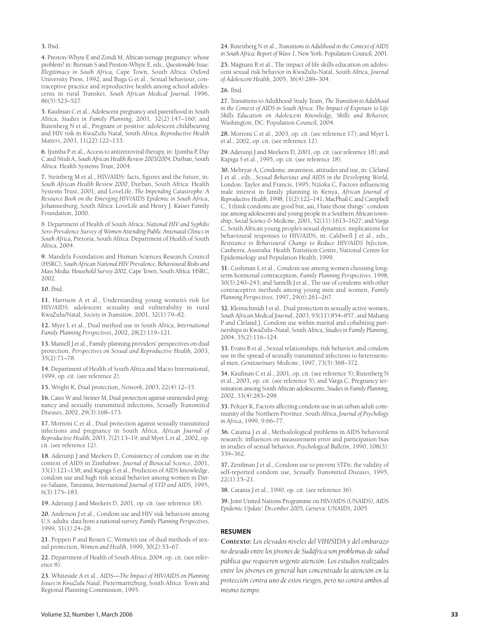#### **3.** Ibid.

**4.** Preston-Whyte E and Zondi M, African teenage pregnancy: whose problem? in: Burman S and Preston-Whyte E, eds., *Questionable Issue: Illegitimacy in South Africa,* Cape Town, South Africa: Oxford University Press, 1992; and Buga G et al., Sexual behaviour, contraceptive practice and reproductive health among school adolescents in rural Transkei, *South African Medical Journal*, 1996,  $86(5) \cdot 523 - 527$ 

**5.** Kaufman C et al., Adolescent pregnancy and parenthood in South Africa, *Studies in Family Planning*, 2001*,* 32(2):147–160; and Rutenberg N et al., Pregnant or positive: adolescent childbearing and HIV risk in KwaZulu Natal, South Africa, *Reproductive Health Matters*, 2003, 11(22):122–133.

**6.** Ijumba P et al., Access to antiretroviral therapy, in: Ijumba P, Day C and Ntuli A, *South African Health Review 2003/2004,* Durban, South Africa: Health Systems Trust, 2004.

**7.** Steinberg M et al., HIV/AIDS: facts, figures and the future, in: *South African Health Review 2000*, Durban, South Africa: Health Systems Trust, 2001; and LoveLife, *The Impending Catastrophe: A Resource Book on the Emerging HIV/AIDS Epidemic in South Africa*, Johannesburg, South Africa: LoveLife and Henry J. Kaiser Family Foundation, 2000.

8. Department of Health of South Africa, *National HIV and Syphilis Sero-Prevalence Survey of Women Attending Public Antenatal Clinics in South Africa,* Pretoria, South Africa: Department of Health of South Africa, 2004.

**9.** Mandela Foundation and Human Sciences Research Council (HSRC), *South African National HIV Prevalence, Behavioural Risks and Mass Media: Household Survey 2002*, Cape Town, South Africa: HSRC, 2002.

**10.** Ibid.

**11.** Harrison A et al., Understanding young women's risk for HIV/AIDS: adolescent sexuality and vulnerability in rural KwaZulu/Natal, *Society in Transition*, 2001, 32(1):79–82.

**12.** Myer L et al., Dual method use in South Africa, *International Family Planning Perspectives*, 2002, 28(2):119–121.

**13.** Mantell J et al., Family planning providers' perspectives on dual protection, *Perspectives on Sexual and Reproductive Health,* 2003,  $35(2):71-78.$ 

**14.** Department of Health of South Africa and Macro International, 1999, op. cit. (see reference 2).

**15.** Wright K, Dual protection, *Network*, 2003, 22(4):12–15.

**16.** Cates W and Steiner M, Dual protection against unintended pregnancy and sexually transmitted infections, *Sexually Transmitted Diseases*, 2002, 29(3):168–173.

**17.** Morroni C et al., Dual protection against sexually transmitted infections and pregnancy in South Africa, *African Journal of Reproductive Health*, 2003, 7(2):13–19; and Myer L et al., 2002, op. cit. (see reference 12).

**18.** Adetunji J and Meekers D, Consistency of condom use in the context of AIDS in Zimbabwe, *Journal of Biosocial Science*, 2001, 33(1):121–138; and Kapiga S et al., Predictors of AIDS knowledge, condom use and high risk sexual behavior among women in Dares-Salaam, Tanzania, *International Journal of STD and AIDS*, 1995, 6(3):175–183.

**19.** Adetunji J and Meekers D, 2001, op. cit. (see reference 18).

**20.** Anderson J et al., Condom use and HIV risk behaviors among U.S. adults: data from a national survey, *Family Planning Perspectives*, 1999, 31(1):24–28.

**21.** Poppen P and Reisen C, Women's use of dual methods of sexual protection, *Women and Health*, 1999, 30(2):53–67.

**22.** Department of Health of South Africa, 2004, op. cit. (see reference 8).

**23.** Whiteside A et al., *AIDS—The Impact of HIV/AIDS on Planning Issues in KwaZulu Natal*, Pietermaritzburg, South Africa: Town and Regional Planning Commission, 1995.

**24.** Rutenberg N et al., *Transitions to Adulthood in the Context of AIDS in South Africa: Report of Wave 1*, New York: Population Council, 2001.

**25.** Magnani R et al., The impact of life skills education on adolescent sexual risk behavior in KwaZulu-Natal, South Africa, *Journal of Adolescent Health*, 2005, 36(4):289–304.

**26.** Ibid.

**27.** Transitions to Adulthood Study Team, *The Transition to Adulthood in the Context of AIDS in South Africa: The Impact of Exposure to Life Skills Education on Adolescent Knowledge, Skills and Behavior,* Washington, DC: Population Council, 2004.

**28.** Morroni C et al., 2003, op. cit. (see reference 17); and Myer L et al., 2002, op. cit. (see reference 12).

**29.** Adetunji J and Meekers D, 2001, op. cit. (see reference 18); and Kapiga S et al., 1995, op. cit. (see reference 18).

**30.** Mehryar A, Condoms: awareness, attitudes and use, in: Cleland J et al., eds., *Sexual Behaviour and AIDS in the Developing World,* London: Taylor and Francis, 1995; Nzioka C, Factors influencing male interest in family planning in Kenya, *African Journal of Reproductive Health*, 1998, 11(2):122–141; MacPhail C and Campbell C, 'I think condoms are good but, aai, I hate those things': condom use among adolescents and young people in a Southern African township, *Social Science & Medicine*, 2001, 52(11):1613–1627; and Varga C, South African young people's sexual dynamics: implications for behavioural responses to HIV/AIDS, in: Caldwell  $\hat{J}$  et al., eds., *Resistance to Behavioural Change to Reduce HIV/AIDS Infection*, Canberra, Australia: Health Transition Centre, National Centre for Epidemiology and Population Health, 1999.

**31.** Cushman L et al., Condom use among women choosing longterm hormonal contraception, *Family Planning Perspectives*, 1998*,* 30(5):240–243; and Santelli J et al., The use of condoms with other contraceptive methods among young men and women, *Family Planning Perspectives*, 1997, 29(6):261–267.

**32.** Kleinschmidt I et al., Dual protection in sexually active women, *South African Medical Journal*, 2003, 93(11):854–857; and Maharaj P and Cleland J, Condom use within marital and cohabiting partnerships in KwaZulu–Natal, South Africa, *Studies in Family Planning*, 2004, 35(2):116–124.

**33.** Evans B et al., Sexual relationships, risk behavior, and condom use in the spread of sexually transmitted infections to heterosexual men, *Genitourinary Medicine*, 1997, 73(5):368–372.

**34.** Kaufman C et al., 2001*,* op. cit. (see reference 5); Rutenberg N et al., 2003, op. cit. (see reference 5); and Varga C, Pregnancy termination among South African adolescents, *Studies in Family Planning,* 2002, 33(4):283–298.

**35.** Peltzer K, Factors affecting condom use in an urban adult community of the Northern Province, South Africa, *Journal of Psychology in Africa*, 1999, 9:66–77.

**36.** Catania J et al., Methodological problems in AIDS behavioral research: influences on measurement error and participation bias in studies of sexual behavior, *Psychological Bulletin*, 1990, 108(3): 339–362.

**37.** Zenilman J et al., Condom use to prevent STDs: the validity of self-reported condom use, *Sexually Transmitted Diseases*, 1995, 22(1):15–21.

**38.** Catania J et al., 1990, op. cit. (see reference 36).

**39.** Joint United Nations Programme on HIV/AIDS (UNAIDS), *AIDS Epidemic Update: December 2005,* Geneva: UNAIDS, 2005.

#### **RESUMEN**

**Contexto:** *Los elevados niveles del VIH/SIDA y del embarazo no deseado entre los jóvenes de Sudáfrica son problemas de salud pública que requieren urgente atención. Los estudios realizados entre los jóvenes en general han concentrado la atención en la protección contra uno de estos riesgos, pero no contra ambos al mismo tiempo.*